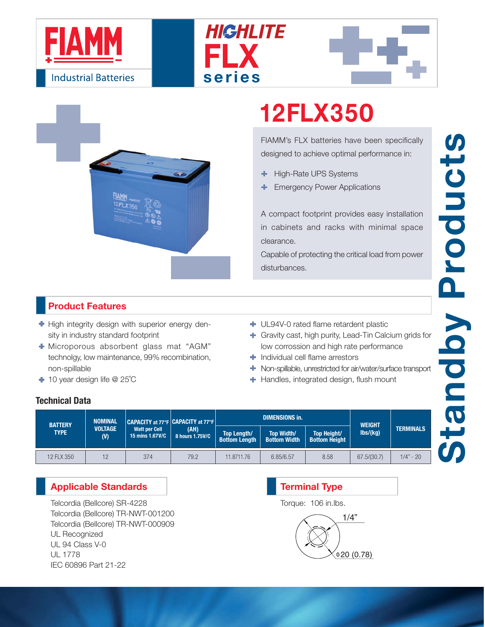







# **12FLX350**

FIAMM's FLX batteries have been specifically designed to achieve optimal performance in:

- High-Rate UPS Systems ٠
- Emergency Power Applications

A compact footprint provides easy installation in cabinets and racks with minimal space clearance.

Capable of protecting the critical load from power disturbances.

### **Product Features**

- $\blacktriangleright$  High integrity design with superior energy density in industry standard footprint
- Microporous absorbent glass mat "AGM" technolgy, low maintenance, 99% recombination, non-spillable
- 10 year design life @ 25˚C
- UL94V-0 rated flame retardent plastic
- Gravity cast, high purity, Lead-Tin Calcium grids for low corrossion and high rate performance
- **Individual cell flame arrestors**
- Non-spillable, unrestricted for air/water/surface transport
- **+** Handles, integrated design, flush mount

### **Technical Data**

| <b>BATTERY</b><br><b>TYPE</b> | <b>NOMINAL</b><br><b>VOLTAGE</b><br>(V) | CAPACITY at 77°F CAPACITY at 77°F   I<br>Watt per Cell<br>15 mins 1.67V/C | (AH)<br>8 hours 1.75V/C |                                            | <b>DIMENSIONS in.</b>                    | <b>WEIGHT</b>                              |               |                  |
|-------------------------------|-----------------------------------------|---------------------------------------------------------------------------|-------------------------|--------------------------------------------|------------------------------------------|--------------------------------------------|---------------|------------------|
|                               |                                         |                                                                           |                         | <b>Top Length/</b><br><b>Bottom Length</b> | <b>Top Width/</b><br><b>Bottom Width</b> | <b>Top Height/</b><br><b>Bottom Height</b> | $\frac{1}{s}$ | <b>TERMINALS</b> |
| 12 FLX 350                    | 12                                      | 374                                                                       | 79.2                    | 11.8711.76                                 | 6.85/6.57                                | 8.58                                       | 67.5/(30.7)   | $1/4" - 20$      |

### **Applicable Standards**

Telcordia (Bellcore) SR-4228 Telcordia (Bellcore) TR-NWT-001200 Telcordia (Bellcore) TR-NWT-000909 UL Recognized UL 94 Class V-0 UL 1778 IEC 60896 Part 21-22

## 1/4"  $0.78$ **Terminal Type** Torque: 106 in.lbs.